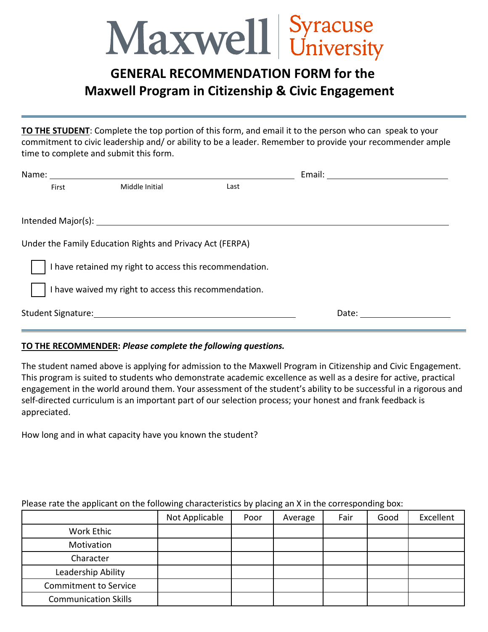## Maxwell Syracuse

## **GENERAL RECOMMENDATION FORM for the Maxwell Program in Citizenship & Civic Engagement**

**TO THE STUDENT**: Complete the top portion of this form, and email it to the person who can speak to your commitment to civic leadership and/ or ability to be a leader. Remember to provide your recommender ample time to complete and submit this form.

| Under the Family Education Rights and Privacy Act (FERPA) |  |  |  |  |  |  |  |
|-----------------------------------------------------------|--|--|--|--|--|--|--|
| I have retained my right to access this recommendation.   |  |  |  |  |  |  |  |
| I have waived my right to access this recommendation.     |  |  |  |  |  |  |  |
|                                                           |  |  |  |  |  |  |  |
|                                                           |  |  |  |  |  |  |  |

## **TO THE RECOMMENDER:** *Please complete the following questions.*

The student named above is applying for admission to the Maxwell Program in Citizenship and Civic Engagement. This program is suited to students who demonstrate academic excellence as well as a desire for active, practical engagement in the world around them. Your assessment of the student's ability to be successful in a rigorous and self-directed curriculum is an important part of our selection process; your honest and frank feedback is appreciated.

How long and in what capacity have you known the student?

|                              | Not Applicable | Poor | Average | Fair | Good | Excellent |
|------------------------------|----------------|------|---------|------|------|-----------|
| Work Ethic                   |                |      |         |      |      |           |
| Motivation                   |                |      |         |      |      |           |
| Character                    |                |      |         |      |      |           |
| Leadership Ability           |                |      |         |      |      |           |
| <b>Commitment to Service</b> |                |      |         |      |      |           |
| <b>Communication Skills</b>  |                |      |         |      |      |           |

## Please rate the applicant on the following characteristics by placing an X in the corresponding box: